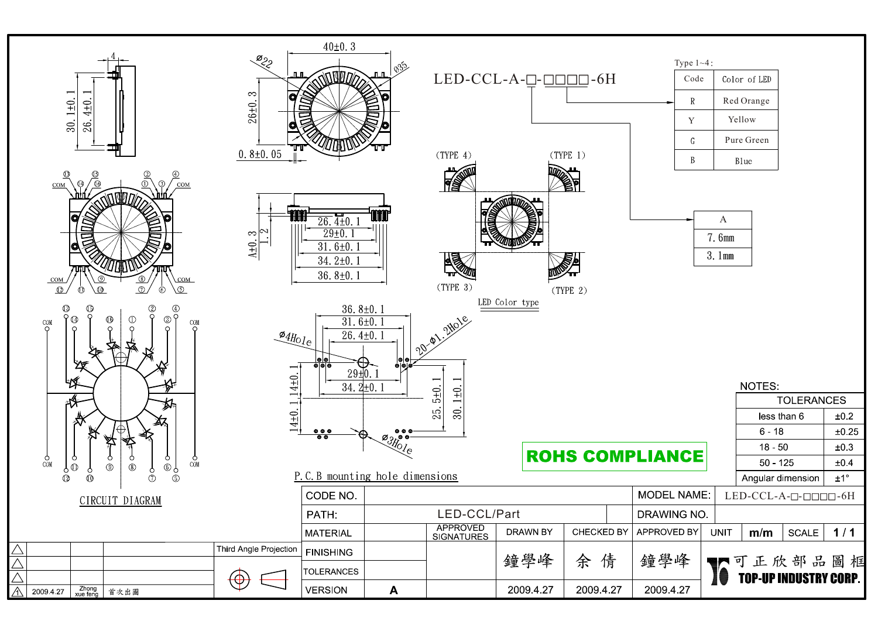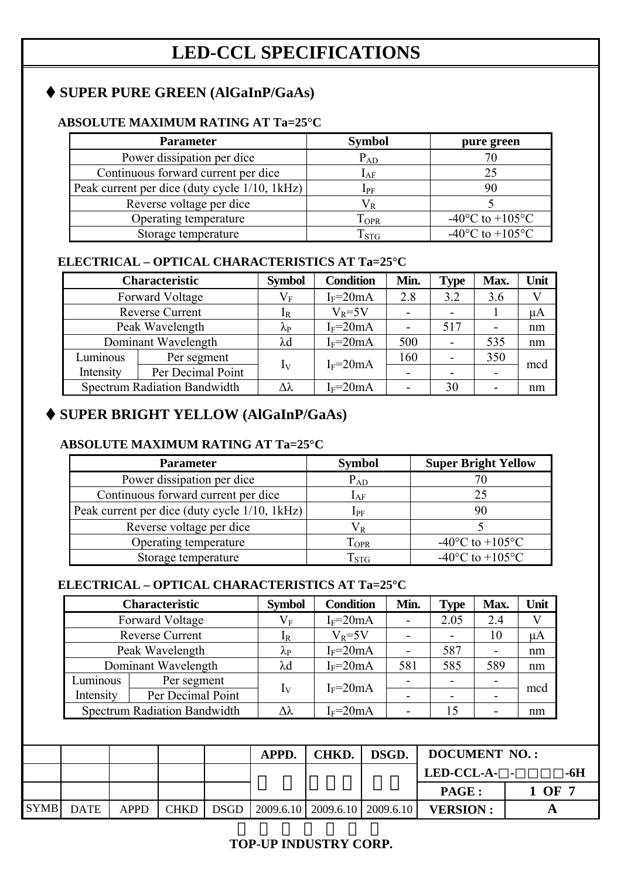# **SUPER PURE GREEN (AlGaInP/GaAs)**

### **ABSOLUTE MAXIMUM RATING AT Ta=25°C**

| <b>Parameter</b>                              | <b>Symbol</b>  | pure green                            |
|-----------------------------------------------|----------------|---------------------------------------|
| Power dissipation per dice                    | $P_{AD}$       |                                       |
| Continuous forward current per dice           | $I_{AF}$       | 25                                    |
| Peak current per dice (duty cycle 1/10, 1kHz) | ${\rm I_{PF}}$ |                                       |
| Reverse voltage per dice                      |                |                                       |
| Operating temperature                         | <b>TOPR</b>    | -40 $^{\circ}$ C to +105 $^{\circ}$ C |
| Storage temperature                           | $T_{STG}$      | -40 $^{\circ}$ C to +105 $^{\circ}$ C |

### **ELECTRICAL – OPTICAL CHARACTERISTICS AT Ta=25°C**

|           | <b>Characteristic</b>               | <b>Symbol</b>             | <b>Condition</b> | Min.                     | <b>Type</b> | Max.                     | Unit    |
|-----------|-------------------------------------|---------------------------|------------------|--------------------------|-------------|--------------------------|---------|
|           | Forward Voltage                     | $\rm V_F$                 | $I_F = 20mA$     | 2.8                      | 3.2         | 3.6                      |         |
|           | <b>Reverse Current</b>              | $1_{R}$                   | $V_R = 5V$       | $\overline{\phantom{a}}$ |             |                          | $\mu A$ |
|           | Peak Wavelength                     | $\mathsf{A}_{\mathrm{P}}$ | $I_F = 20mA$     |                          | 517         | $\overline{\phantom{a}}$ | nm      |
|           | Dominant Wavelength                 | λd                        | $I_F = 20mA$     | 500                      |             | 535                      | nm      |
| Luminous  | Per segment                         |                           | $I_F = 20mA$     | 160                      |             | 350                      |         |
| Intensity | Per Decimal Point                   | $I_{\rm V}$               |                  |                          |             | $\blacksquare$           | mcd     |
|           | <b>Spectrum Radiation Bandwidth</b> | Λλ                        | $I_F = 20mA$     |                          | 30          | -                        | nm      |

## **SUPER BRIGHT YELLOW (AlGaInP/GaAs)**

#### **ABSOLUTE MAXIMUM RATING AT Ta=25°C**

| <b>Parameter</b>                              | <b>Symbol</b> | <b>Super Bright Yellow</b>          |
|-----------------------------------------------|---------------|-------------------------------------|
| Power dissipation per dice                    | $P_{AD}$      |                                     |
| Continuous forward current per dice           | $I_{AF}$      | 25                                  |
| Peak current per dice (duty cycle 1/10, 1kHz) | $I_{PF}$      | 90                                  |
| Reverse voltage per dice                      | $\rm V_R$     |                                     |
| Operating temperature                         | $1_{\rm OPR}$ | $-40^{\circ}$ C to $+105^{\circ}$ C |
| Storage temperature                           | $T_{\rm STG}$ | $-40^{\circ}$ C to $+105^{\circ}$ C |

### **ELECTRICAL – OPTICAL CHARACTERISTICS AT Ta=25°C**

| Characteristic                      | <b>Symbol</b>             | <b>Condition</b> | Min.         | <b>Type</b>              | Max. | Unit |
|-------------------------------------|---------------------------|------------------|--------------|--------------------------|------|------|
| Forward Voltage                     | $\rm V_F$                 | $I_F = 20mA$     |              | 2.05                     | 2.4  |      |
| <b>Reverse Current</b>              | 1R                        | $V_R = 5V$       |              | $\overline{\phantom{a}}$ | 10   | μA   |
| Peak Wavelength                     | $\mathsf{V}^{\mathrm{b}}$ | $I_F = 20mA$     |              | 587                      | -    | nm   |
| Dominant Wavelength                 | $\lambda$ d               | $I_F = 20mA$     | 581          | 585                      | 589  | nm   |
| Per segment                         |                           |                  |              | $\overline{\phantom{0}}$ |      | mcd  |
| Per Decimal Point<br>Intensity      |                           |                  |              | $\overline{\phantom{0}}$ |      |      |
| <b>Spectrum Radiation Bandwidth</b> | Δλ                        | $I_F = 20mA$     |              | 15                       |      | nm   |
|                                     |                           | $I_{\rm V}$      | $I_F = 20mA$ |                          |      |      |

|             |             |             |             |             | APPD. | CHKD. I | DSGD.                                                         | <b>DOCUMENT NO.:</b> |            |
|-------------|-------------|-------------|-------------|-------------|-------|---------|---------------------------------------------------------------|----------------------|------------|
|             |             |             |             |             |       |         |                                                               | LED-CCL-A- -<br>-6H  |            |
|             |             |             |             |             |       |         |                                                               | <b>PAGE :</b>        | $1$ OF $7$ |
| <b>SYMB</b> | <b>DATE</b> | <b>APPD</b> | <b>CHKD</b> | <b>DSGD</b> |       |         | $\vert$ 2009.6.10 $\vert$ 2009.6.10 $\vert$ 2009.6.10 $\vert$ | <b>VERSION:</b>      |            |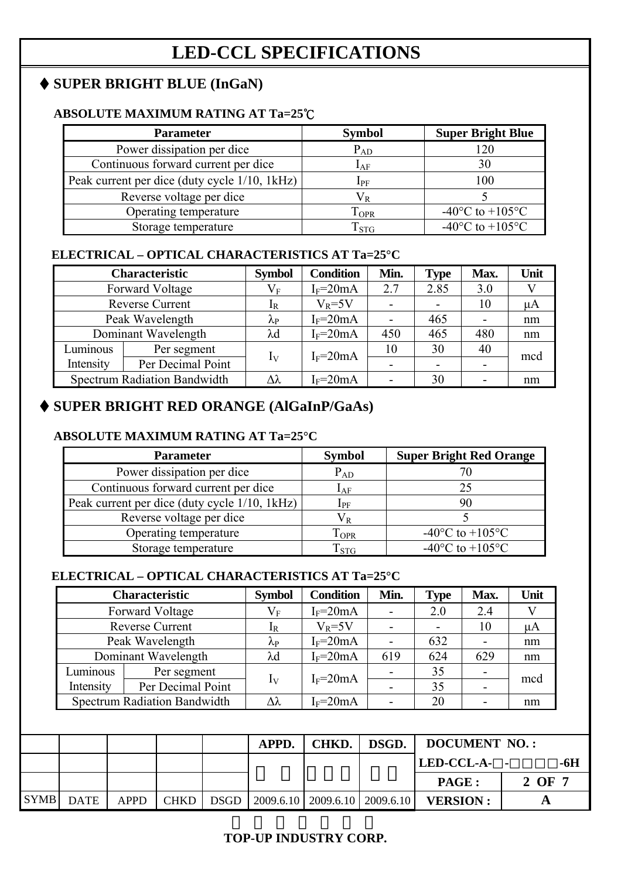## **SUPER BRIGHT BLUE (InGaN)**

#### **ABSOLUTE MAXIMUM RATING AT Ta=25**℃

| <b>Parameter</b>                              | <b>Symbol</b>                  | <b>Super Bright Blue</b>              |
|-----------------------------------------------|--------------------------------|---------------------------------------|
| Power dissipation per dice                    | $P_{AD}$                       | 120                                   |
| Continuous forward current per dice           | $I_{AF}$                       | 30                                    |
| Peak current per dice (duty cycle 1/10, 1kHz) | $I_{PF}$                       | 100                                   |
| Reverse voltage per dice                      | $\rm V_{\scriptscriptstyle R}$ |                                       |
| Operating temperature                         | $T_{\rm OPR}$                  | -40 $^{\circ}$ C to +105 $^{\circ}$ C |
| Storage temperature                           | $\mathrm{T_{STG}}$             | -40 $^{\circ}$ C to +105 $^{\circ}$ C |

#### **ELECTRICAL – OPTICAL CHARACTERISTICS AT Ta=25°C**

|           | <b>Characteristic</b>               | <b>Symbol</b>     | <b>Condition</b> | Min.           | <b>Type</b>              | Max.                     | Unit |
|-----------|-------------------------------------|-------------------|------------------|----------------|--------------------------|--------------------------|------|
|           | <b>Forward Voltage</b>              | $\rm V_F$         | $I_F = 20mA$     | 2.7            | 2.85                     | 3.0                      |      |
|           | <b>Reverse Current</b>              | $1_{\rm R}$       | $V_R = 5V$       | $\blacksquare$ | $\overline{\phantom{a}}$ | 10                       | uA   |
|           | Peak Wavelength                     | $\lambda_{\rm P}$ | $I_F = 20mA$     | $\blacksquare$ | 465                      | $\overline{\phantom{a}}$ | nm   |
|           | Dominant Wavelength                 | $\lambda$ d       | $I_F = 20mA$     | 450            | 465                      | 480                      | nm   |
| Luminous  | Per segment                         |                   |                  | 10             | 30                       | 40                       | mcd  |
| Intensity | Per Decimal Point                   | $I_{\rm V}$       | $I_F = 20mA$     |                | $\overline{\phantom{0}}$ |                          |      |
|           | <b>Spectrum Radiation Bandwidth</b> | Δλ                | $I_F = 20mA$     |                | 30                       |                          | nm   |

## **SUPER BRIGHT RED ORANGE (AlGaInP/GaAs)**

#### **ABSOLUTE MAXIMUM RATING AT Ta=25°C**

| <b>Parameter</b>                              | <b>Symbol</b>    | <b>Super Bright Red Orange</b>      |
|-----------------------------------------------|------------------|-------------------------------------|
| Power dissipation per dice                    | $P_{AD}$         |                                     |
| Continuous forward current per dice           | $\rm I_{AF}$     | 25                                  |
| Peak current per dice (duty cycle 1/10, 1kHz) | ${\rm I_{PF}}$   | 90                                  |
| Reverse voltage per dice                      | $\rm V_R$        |                                     |
| Operating temperature                         | <b>TOPR</b>      | $-40^{\circ}$ C to $+105^{\circ}$ C |
| Storage temperature                           | T <sub>STG</sub> | $-40^{\circ}$ C to $+105^{\circ}$ C |

### **ELECTRICAL – OPTICAL CHARACTERISTICS AT Ta=25°C**

|           | Characteristic                      | <b>Symbol</b>     | <b>Condition</b> | Min. | <b>Type</b> | Max. | Unit    |
|-----------|-------------------------------------|-------------------|------------------|------|-------------|------|---------|
|           | Forward Voltage                     | $\rm V_F$         | $I_F = 20mA$     | -    | 2.0         | 2.4  |         |
|           | <b>Reverse Current</b>              | 1R                | $V_R = 5V$       |      |             | 10   | $\mu A$ |
|           | Peak Wavelength                     | $\lambda_{\rm P}$ | $I_F = 20mA$     |      | 632         |      | nm      |
|           | Dominant Wavelength                 | $\lambda$ d       | $I_F = 20mA$     | 619  | 624         | 629  | nm      |
| Luminous  | Per segment                         | $I_{\rm V}$       | $I_F = 20mA$     |      | 35          |      |         |
| Intensity | Per Decimal Point                   |                   |                  |      | 35          |      | mcd     |
|           | <b>Spectrum Radiation Bandwidth</b> | Δλ                | $I_F = 20mA$     |      | 20          |      | nm      |

|           |             |           | <b>APPD.</b> | <b>CHKD.</b>                        | DSGD. | <b>DOCUMENT NO.:</b> |        |
|-----------|-------------|-----------|--------------|-------------------------------------|-------|----------------------|--------|
|           |             |           |              |                                     |       | LED-CCL-A- -         | -6H    |
|           |             |           |              |                                     |       | <b>PAGE:</b>         | 2 OF 7 |
| SYMB DATE | <b>APPD</b> | CHKD DSGD |              | $2009.6.10$ $2009.6.10$ $2009.6.10$ |       | <b>VERSION:</b>      |        |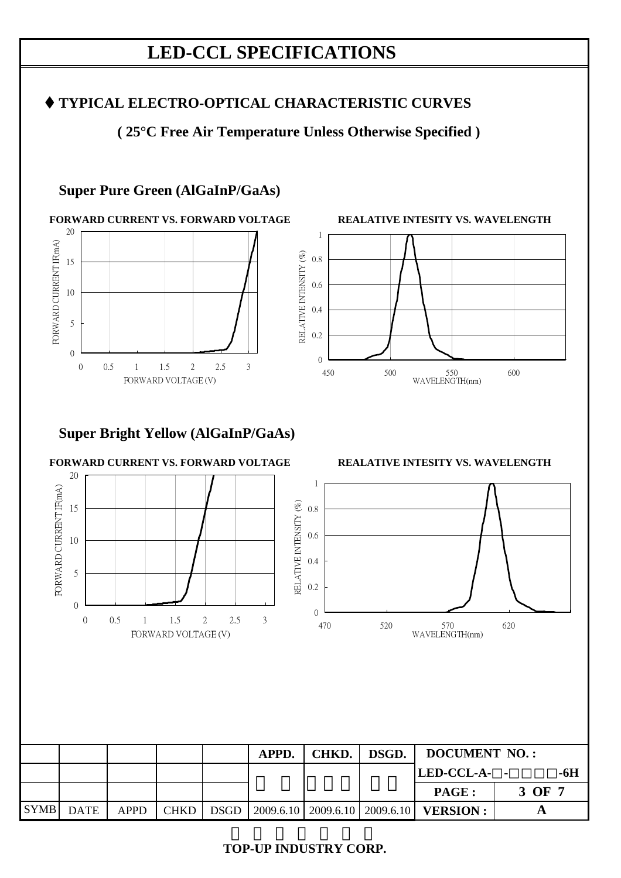## **TYPICAL ELECTRO-OPTICAL CHARACTERISTIC CURVES**

**( 25°C Free Air Temperature Unless Otherwise Specified )** 

## **Super Pure Green (AlGaInP/GaAs)**





## **Super Bright Yellow (AlGaInP/GaAs)**

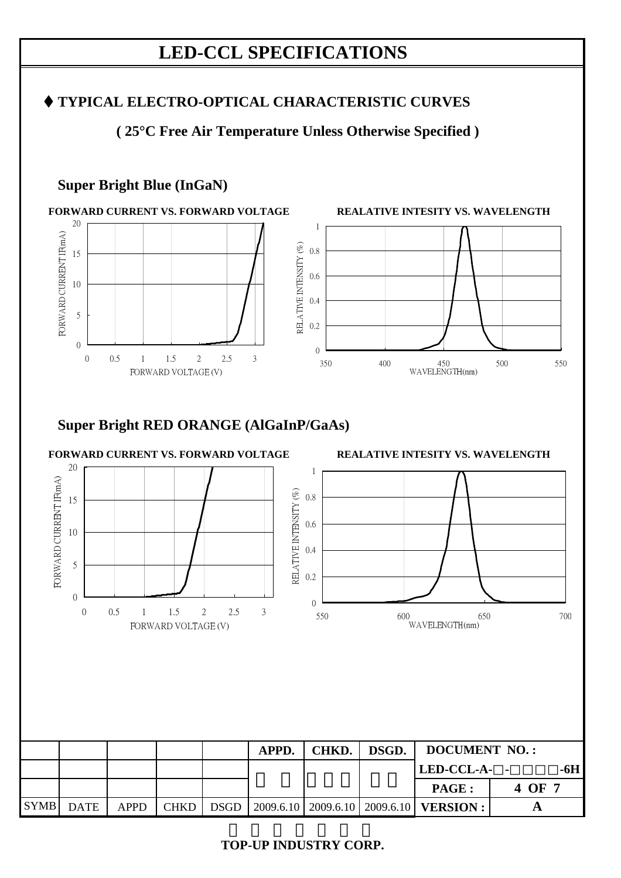## **TYPICAL ELECTRO-OPTICAL CHARACTERISTIC CURVES**

**( 25°C Free Air Temperature Unless Otherwise Specified )** 

## **Super Bright Blue (InGaN)**



# **Super Bright RED ORANGE (AlGaInP/GaAs)**

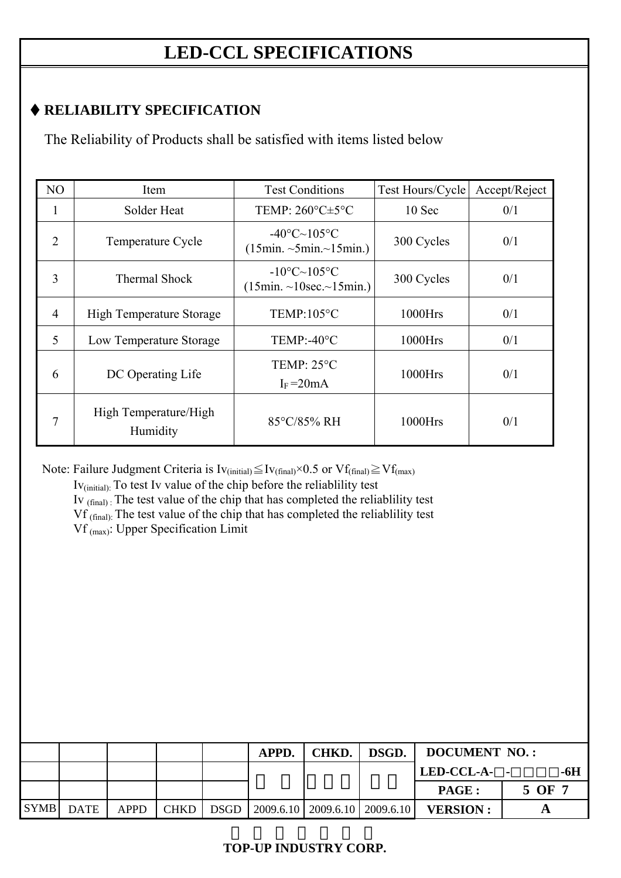# **RELIABILITY SPECIFICATION**

The Reliability of Products shall be satisfied with items listed below

| N <sub>O</sub> | Item                              | <b>Test Conditions</b>                                              | Test Hours/Cycle | Accept/Reject |
|----------------|-----------------------------------|---------------------------------------------------------------------|------------------|---------------|
| Т.             | Solder Heat                       | TEMP: $260^{\circ}$ C $\pm$ 5°C                                     | 10 Sec           | 0/1           |
| $\overline{2}$ | Temperature Cycle                 | $-40^{\circ}$ C $\sim$ 105 $^{\circ}$ C<br>(15min.~5min.~15min.)    | 300 Cycles       | 0/1           |
| 3              | <b>Thermal Shock</b>              | $-10^{\circ}C - 105^{\circ}C$<br>$(15min. \sim 10sec. \sim 15min.)$ | 300 Cycles       | 0/1           |
| $\overline{4}$ | <b>High Temperature Storage</b>   | TEMP:105°C                                                          | $1000$ Hrs       | 0/1           |
| 5              | Low Temperature Storage           | $TEMP: -40°C$                                                       |                  | 0/1           |
| 6              | DC Operating Life                 | TEMP: $25^{\circ}$ C<br>$I_F = 20mA$                                | 1000Hrs          | 0/1           |
| 7              | High Temperature/High<br>Humidity | 85°C/85% RH                                                         | 1000Hrs          | 0/1           |

Note: Failure Judgment Criteria is  $Iv_{(initial)} \leq Iv_{(final)} \times 0.5$  or  $Vf_{(final)} \geq Vf_{(max)}$ 

 Iv(initial): To test Iv value of the chip before the reliablility test Iv (final) : The test value of the chip that has completed the reliablility test Vf (final): The test value of the chip that has completed the reliablility test Vf (max): Upper Specification Limit

|           |             |             |             | APPD. | CHKD.                               | DSGD. | <b>DOCUMENT NO.:</b> |        |  |
|-----------|-------------|-------------|-------------|-------|-------------------------------------|-------|----------------------|--------|--|
|           |             |             |             |       |                                     |       | LED-CCL-A- -<br>-6H  |        |  |
|           |             |             |             |       |                                     |       | <b>PAGE:</b>         | 5 OF 7 |  |
| SYMB DATE | <b>APPD</b> | <b>CHKD</b> | <b>DSGD</b> |       | $2009.6.10$   2009.6.10   2009.6.10 |       | <b>VERSION:</b>      |        |  |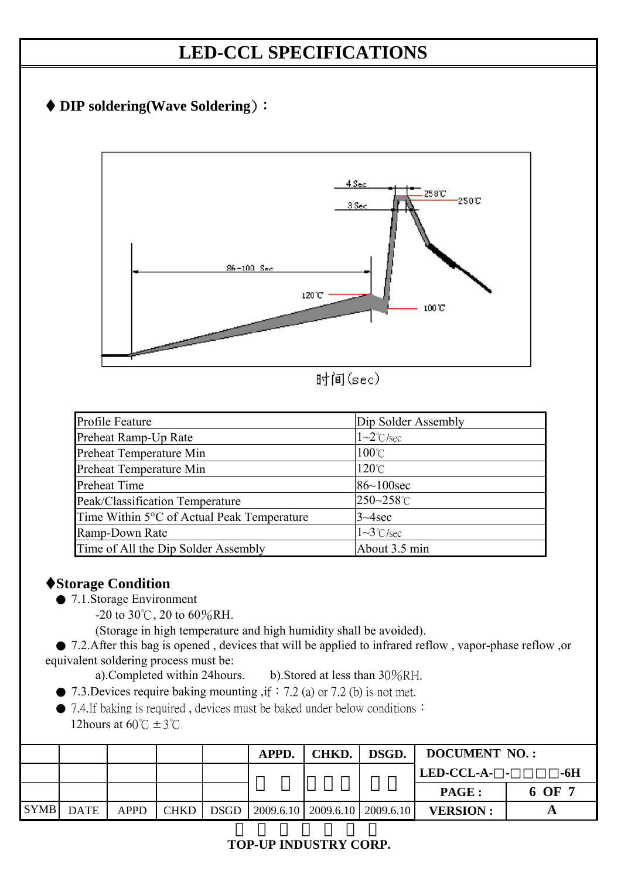



时间(sec)

| Profile Feature                            | Dip Solder Assembly      |  |  |
|--------------------------------------------|--------------------------|--|--|
| Preheat Ramp-Up Rate                       | $1\sim2^{\circ}$ C/sec   |  |  |
| Preheat Temperature Min                    | $100^{\circ}$ C          |  |  |
| Preheat Temperature Min                    | $120^{\circ}$ C          |  |  |
| Preheat Time                               | $86 - 100$ sec           |  |  |
| Peak/Classification Temperature            | 250~258°C                |  |  |
| Time Within 5°C of Actual Peak Temperature | $3 - 4$ sec              |  |  |
| Ramp-Down Rate                             | $1 \sim 3^{\circ}$ C/sec |  |  |
| Time of All the Dip Solder Assembly        | About 3.5 min            |  |  |

## **Storage Condition**

- 7.1.Storage Environment
	- $-20$  to 30°C, 20 to 60%RH.

(Storage in high temperature and high humidity shall be avoided).

 ● 7.2.After this bag is opened , devices that will be applied to infrared reflow , vapor-phase reflow ,or equivalent soldering process must be:

- a).Completed within 24hours. b).Stored at less than 30%RH.
- $\bullet$  7.3. Devices require baking mounting , if:7.2 (a) or 7.2 (b) is not met.

● 7.4.If baking is required, devices must be baked under below conditions: 12hours at 60 $\degree$ C ± 3 $\degree$ C

|             |             |             |             | APPD.                                      | CHKD. | DSGD. | <b>DOCUMENT NO.:</b> |        |  |
|-------------|-------------|-------------|-------------|--------------------------------------------|-------|-------|----------------------|--------|--|
|             |             |             |             |                                            |       |       | LED-CCL-A- -<br>-6H  |        |  |
|             |             |             |             |                                            |       |       | PAGE :               | 6 OF 7 |  |
| <b>SYMB</b> | <b>DATE</b> | <b>APPD</b> | <b>CHKD</b> | $DSGD$   2009.6.10   2009.6.10   2009.6.10 |       |       | <b>VERSION:</b>      |        |  |